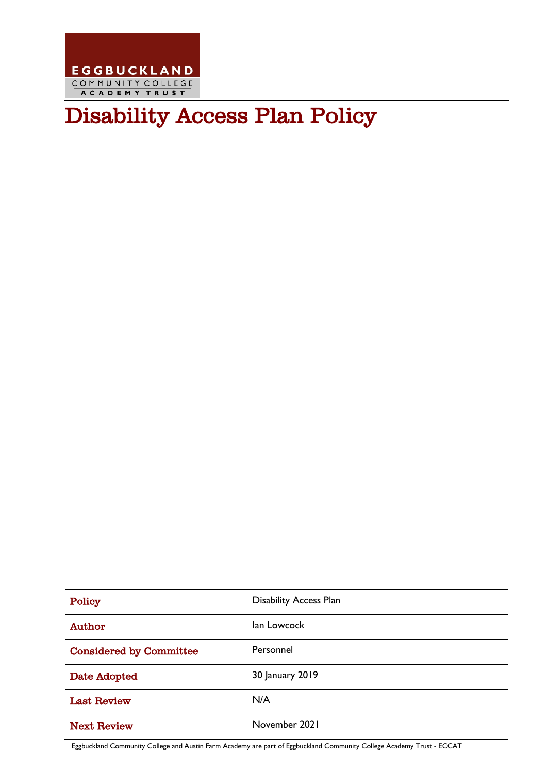

# Disability Access Plan Policy

| Policy                         | <b>Disability Access Plan</b> |
|--------------------------------|-------------------------------|
| Author                         | lan Lowcock                   |
| <b>Considered by Committee</b> | Personnel                     |
| Date Adopted                   | 30 January 2019               |
| <b>Last Review</b>             | N/A                           |
| <b>Next Review</b>             | November 2021                 |

Eggbuckland Community College and Austin Farm Academy are part of Eggbuckland Community College Academy Trust - ECCAT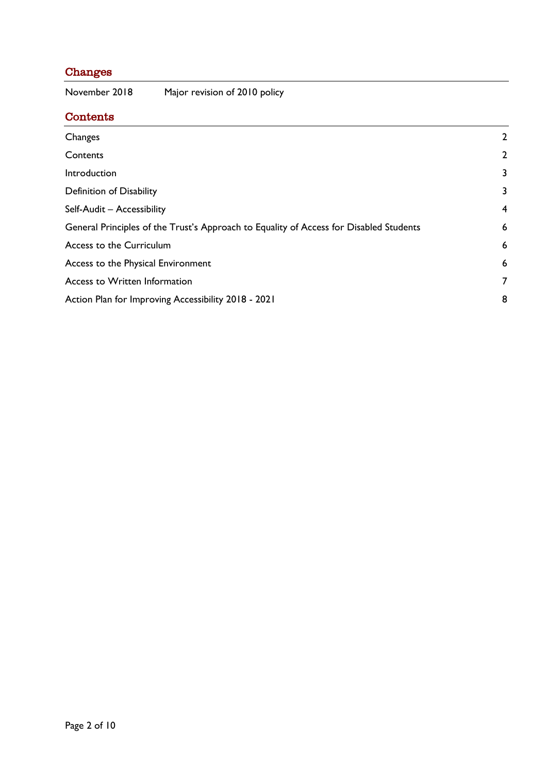# <span id="page-1-0"></span>Changes

<span id="page-1-1"></span>Contents

November 2018 Major revision of 2010 policy

| Changes                                                                                | 2            |
|----------------------------------------------------------------------------------------|--------------|
| Contents                                                                               | $\mathbf{2}$ |
| Introduction                                                                           | 3            |
| <b>Definition of Disability</b>                                                        | 3            |
| Self-Audit - Accessibility                                                             | 4            |
| General Principles of the Trust's Approach to Equality of Access for Disabled Students | 6            |
| Access to the Curriculum                                                               | 6            |
| Access to the Physical Environment                                                     | 6            |
| Access to Written Information                                                          | 7            |
| Action Plan for Improving Accessibility 2018 - 2021                                    | 8            |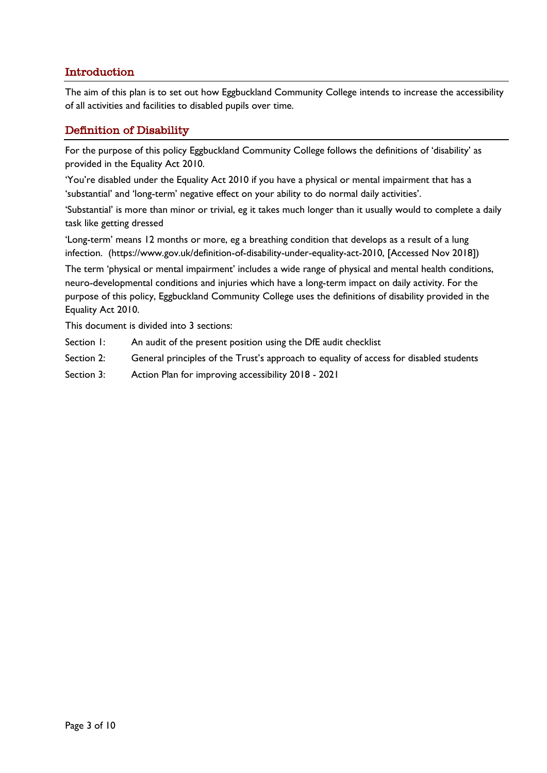## <span id="page-2-0"></span>Introduction

The aim of this plan is to set out how Eggbuckland Community College intends to increase the accessibility of all activities and facilities to disabled pupils over time.

#### <span id="page-2-1"></span>Definition of Disability

For the purpose of this policy Eggbuckland Community College follows the definitions of 'disability' as provided in the Equality Act 2010.

'You're disabled under the Equality Act 2010 if you have a physical or mental impairment that has a 'substantial' and 'long-term' negative effect on your ability to do normal daily activities'.

'Substantial' is more than minor or trivial, eg it takes much longer than it usually would to complete a daily task like getting dressed

'Long-term' means 12 months or more, eg a breathing condition that develops as a result of a lung infection. [\(https://www.gov.uk/definition-of-disability-under-equality-act-2010,](https://www.gov.uk/definition-of-disability-under-equality-act-2010) [Accessed Nov 2018])

The term 'physical or mental impairment' includes a wide range of physical and mental health conditions, neuro-developmental conditions and injuries which have a long-term impact on daily activity. For the purpose of this policy, Eggbuckland Community College uses the definitions of disability provided in the Equality Act 2010.

This document is divided into 3 sections:

- Section 1: An audit of the present position using the DfE audit checklist
- Section 2: General principles of the Trust's approach to equality of access for disabled students
- Section 3: Action Plan for improving accessibility 2018 2021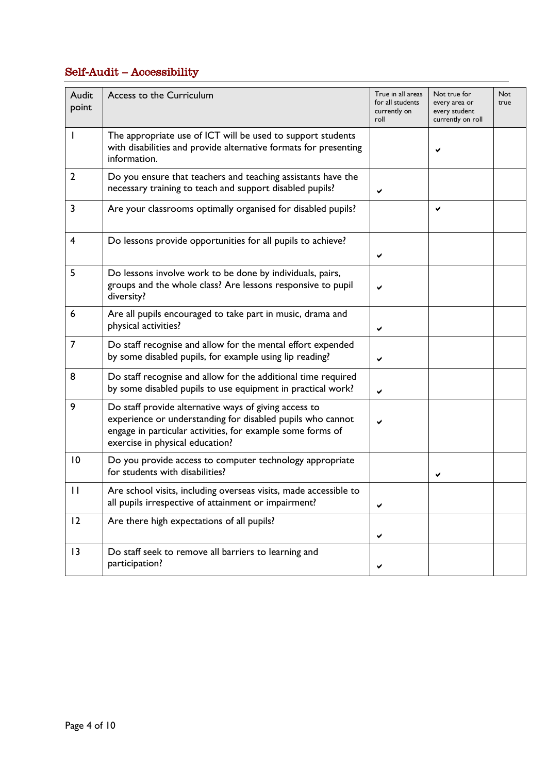# <span id="page-3-0"></span>Self-Audit – Accessibility

| Audit<br>point | Access to the Curriculum                                                                                                                                                                                             | True in all areas<br>for all students<br>currently on<br>roll | Not true for<br>every area or<br>every student<br>currently on roll | <b>Not</b><br>true |
|----------------|----------------------------------------------------------------------------------------------------------------------------------------------------------------------------------------------------------------------|---------------------------------------------------------------|---------------------------------------------------------------------|--------------------|
| I              | The appropriate use of ICT will be used to support students<br>with disabilities and provide alternative formats for presenting<br>information.                                                                      |                                                               | ✔                                                                   |                    |
| $\overline{2}$ | Do you ensure that teachers and teaching assistants have the<br>necessary training to teach and support disabled pupils?                                                                                             | ✔                                                             |                                                                     |                    |
| 3              | Are your classrooms optimally organised for disabled pupils?                                                                                                                                                         |                                                               | ✔                                                                   |                    |
| $\overline{4}$ | Do lessons provide opportunities for all pupils to achieve?                                                                                                                                                          | ✔                                                             |                                                                     |                    |
| 5              | Do lessons involve work to be done by individuals, pairs,<br>groups and the whole class? Are lessons responsive to pupil<br>diversity?                                                                               |                                                               |                                                                     |                    |
| 6              | Are all pupils encouraged to take part in music, drama and<br>physical activities?                                                                                                                                   | ✔                                                             |                                                                     |                    |
| $\overline{7}$ | Do staff recognise and allow for the mental effort expended<br>by some disabled pupils, for example using lip reading?                                                                                               | ✔                                                             |                                                                     |                    |
| 8              | Do staff recognise and allow for the additional time required<br>by some disabled pupils to use equipment in practical work?                                                                                         | ✔                                                             |                                                                     |                    |
| 9              | Do staff provide alternative ways of giving access to<br>experience or understanding for disabled pupils who cannot<br>engage in particular activities, for example some forms of<br>exercise in physical education? |                                                               |                                                                     |                    |
| 10             | Do you provide access to computer technology appropriate<br>for students with disabilities?                                                                                                                          |                                                               | ✔                                                                   |                    |
| $\mathbf{H}$   | Are school visits, including overseas visits, made accessible to<br>all pupils irrespective of attainment or impairment?                                                                                             | ✔                                                             |                                                                     |                    |
| 2              | Are there high expectations of all pupils?                                                                                                                                                                           | ✔                                                             |                                                                     |                    |
| 3              | Do staff seek to remove all barriers to learning and<br>participation?                                                                                                                                               | ✔                                                             |                                                                     |                    |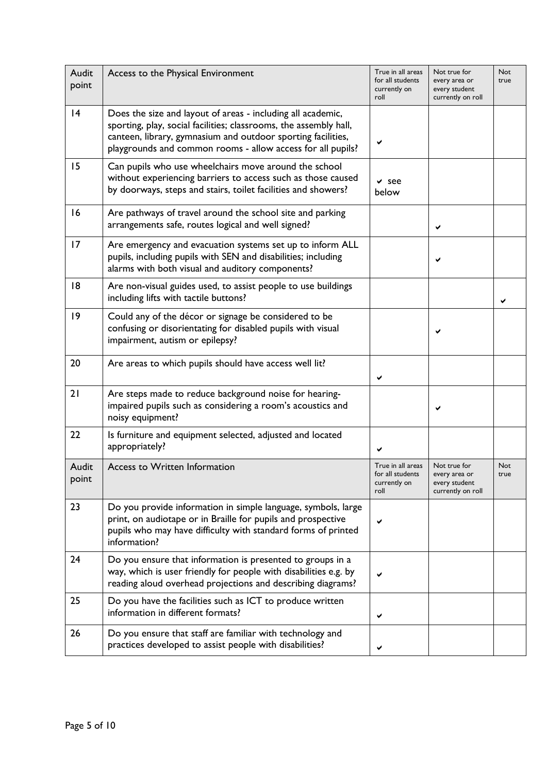| Audit<br>point | Access to the Physical Environment                                                                                                                                                                                                                              | True in all areas<br>for all students<br>currently on<br>roll | Not true for<br>every area or<br>every student<br>currently on roll | <b>Not</b><br>true |
|----------------|-----------------------------------------------------------------------------------------------------------------------------------------------------------------------------------------------------------------------------------------------------------------|---------------------------------------------------------------|---------------------------------------------------------------------|--------------------|
| 4              | Does the size and layout of areas - including all academic,<br>sporting, play, social facilities; classrooms, the assembly hall,<br>canteen, library, gymnasium and outdoor sporting facilities,<br>playgrounds and common rooms - allow access for all pupils? |                                                               |                                                                     |                    |
| 15             | Can pupils who use wheelchairs move around the school<br>without experiencing barriers to access such as those caused<br>by doorways, steps and stairs, toilet facilities and showers?                                                                          | $\vee$ see<br>below                                           |                                                                     |                    |
| 16             | Are pathways of travel around the school site and parking<br>arrangements safe, routes logical and well signed?                                                                                                                                                 |                                                               | ✔                                                                   |                    |
| 17             | Are emergency and evacuation systems set up to inform ALL<br>pupils, including pupils with SEN and disabilities; including<br>alarms with both visual and auditory components?                                                                                  |                                                               | ✔                                                                   |                    |
| 8              | Are non-visual guides used, to assist people to use buildings<br>including lifts with tactile buttons?                                                                                                                                                          |                                                               |                                                                     |                    |
| $ 9\rangle$    | Could any of the décor or signage be considered to be<br>confusing or disorientating for disabled pupils with visual<br>impairment, autism or epilepsy?                                                                                                         |                                                               | ✔                                                                   |                    |
| 20             | Are areas to which pupils should have access well lit?                                                                                                                                                                                                          | ✔                                                             |                                                                     |                    |
| 21             | Are steps made to reduce background noise for hearing-<br>impaired pupils such as considering a room's acoustics and<br>noisy equipment?                                                                                                                        |                                                               | ✔                                                                   |                    |
| 22             | Is furniture and equipment selected, adjusted and located<br>appropriately?                                                                                                                                                                                     |                                                               |                                                                     |                    |
| Audit<br>point | Access to Written Information                                                                                                                                                                                                                                   | True in all areas<br>for all students<br>currently on<br>roll | Not true for<br>every area or<br>every student<br>currently on roll | <b>Not</b><br>true |
| 23             | Do you provide information in simple language, symbols, large<br>print, on audiotape or in Braille for pupils and prospective<br>pupils who may have difficulty with standard forms of printed<br>information?                                                  |                                                               |                                                                     |                    |
| 24             | Do you ensure that information is presented to groups in a<br>way, which is user friendly for people with disabilities e.g. by<br>reading aloud overhead projections and describing diagrams?                                                                   |                                                               |                                                                     |                    |
| 25             | Do you have the facilities such as ICT to produce written<br>information in different formats?                                                                                                                                                                  | ✔                                                             |                                                                     |                    |
| 26             | Do you ensure that staff are familiar with technology and<br>practices developed to assist people with disabilities?                                                                                                                                            |                                                               |                                                                     |                    |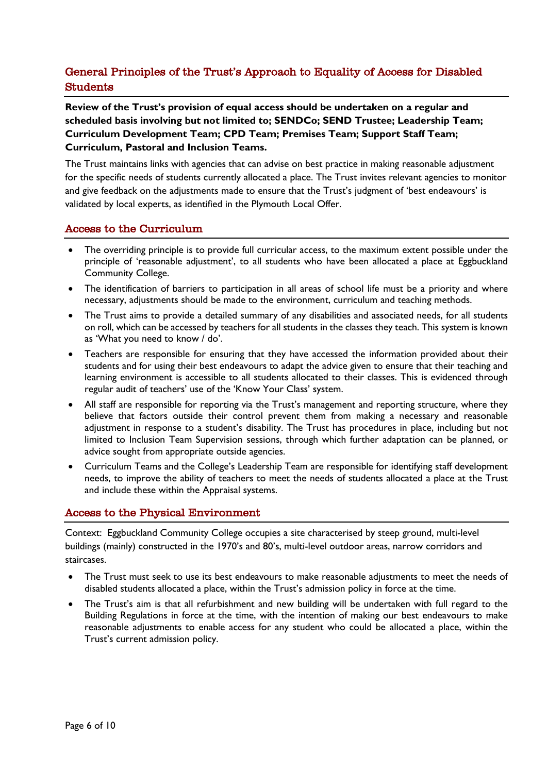# <span id="page-5-0"></span>General Principles of the Trust's Approach to Equality of Access for Disabled **Students**

**Review of the Trust's provision of equal access should be undertaken on a regular and scheduled basis involving but not limited to; SENDCo; SEND Trustee; Leadership Team; Curriculum Development Team; CPD Team; Premises Team; Support Staff Team; Curriculum, Pastoral and Inclusion Teams.** 

The Trust maintains links with agencies that can advise on best practice in making reasonable adjustment for the specific needs of students currently allocated a place. The Trust invites relevant agencies to monitor and give feedback on the adjustments made to ensure that the Trust's judgment of 'best endeavours' is validated by local experts, as identified in the Plymouth Local Offer.

#### <span id="page-5-1"></span>Access to the Curriculum

- The overriding principle is to provide full curricular access, to the maximum extent possible under the principle of 'reasonable adjustment', to all students who have been allocated a place at Eggbuckland Community College.
- The identification of barriers to participation in all areas of school life must be a priority and where necessary, adjustments should be made to the environment, curriculum and teaching methods.
- The Trust aims to provide a detailed summary of any disabilities and associated needs, for all students on roll, which can be accessed by teachers for all students in the classes they teach. This system is known as 'What you need to know / do'.
- Teachers are responsible for ensuring that they have accessed the information provided about their students and for using their best endeavours to adapt the advice given to ensure that their teaching and learning environment is accessible to all students allocated to their classes. This is evidenced through regular audit of teachers' use of the 'Know Your Class' system.
- All staff are responsible for reporting via the Trust's management and reporting structure, where they believe that factors outside their control prevent them from making a necessary and reasonable adjustment in response to a student's disability. The Trust has procedures in place, including but not limited to Inclusion Team Supervision sessions, through which further adaptation can be planned, or advice sought from appropriate outside agencies.
- Curriculum Teams and the College's Leadership Team are responsible for identifying staff development needs, to improve the ability of teachers to meet the needs of students allocated a place at the Trust and include these within the Appraisal systems.

#### <span id="page-5-2"></span>Access to the Physical Environment

Context: Eggbuckland Community College occupies a site characterised by steep ground, multi-level buildings (mainly) constructed in the 1970's and 80's, multi-level outdoor areas, narrow corridors and staircases.

- The Trust must seek to use its best endeavours to make reasonable adjustments to meet the needs of disabled students allocated a place, within the Trust's admission policy in force at the time.
- The Trust's aim is that all refurbishment and new building will be undertaken with full regard to the Building Regulations in force at the time, with the intention of making our best endeavours to make reasonable adjustments to enable access for any student who could be allocated a place, within the Trust's current admission policy.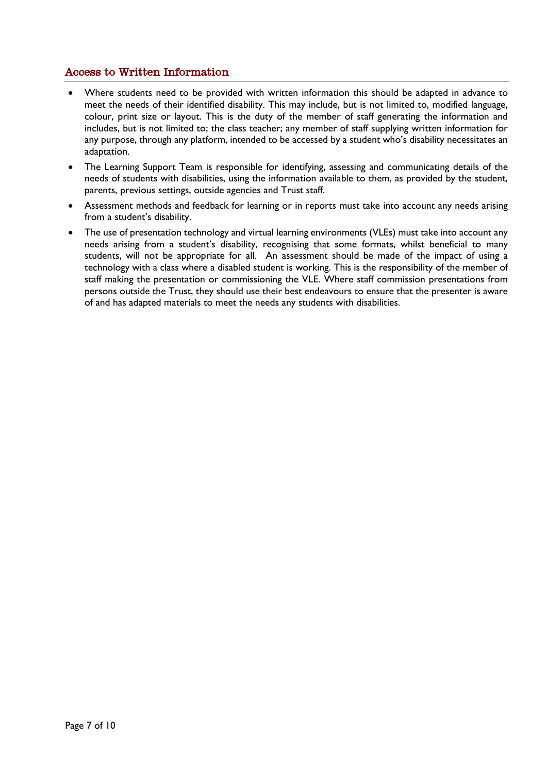### <span id="page-6-0"></span>Access to Written Information

- Where students need to be provided with written information this should be adapted in advance to meet the needs of their identified disability. This may include, but is not limited to, modified language, colour, print size or layout. This is the duty of the member of staff generating the information and includes, but is not limited to; the class teacher; any member of staff supplying written information for any purpose, through any platform, intended to be accessed by a student who's disability necessitates an adaptation.
- The Learning Support Team is responsible for identifying, assessing and communicating details of the needs of students with disabilities, using the information available to them, as provided by the student, parents, previous settings, outside agencies and Trust staff.
- Assessment methods and feedback for learning or in reports must take into account any needs arising from a student's disability.
- The use of presentation technology and virtual learning environments (VLEs) must take into account any needs arising from a student's disability, recognising that some formats, whilst beneficial to many students, will not be appropriate for all. An assessment should be made of the impact of using a technology with a class where a disabled student is working. This is the responsibility of the member of staff making the presentation or commissioning the VLE. Where staff commission presentations from persons outside the Trust, they should use their best endeavours to ensure that the presenter is aware of and has adapted materials to meet the needs any students with disabilities.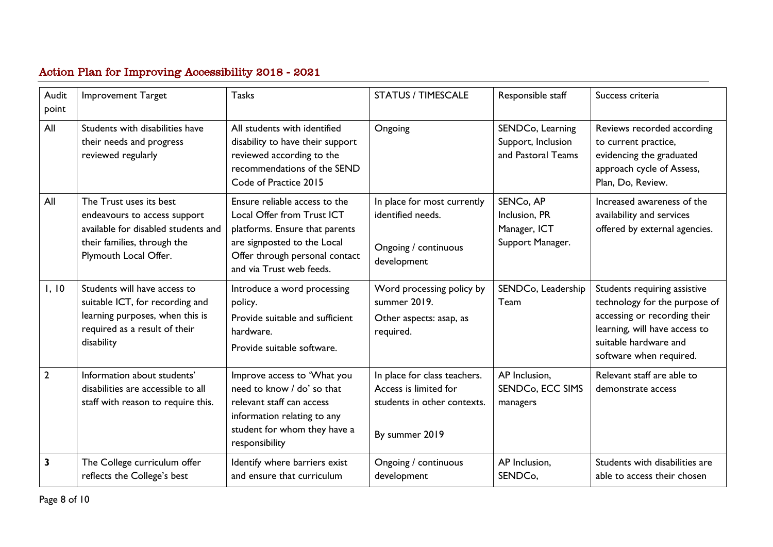# Action Plan for Improving Accessibility 2018 - 2021

<span id="page-7-0"></span>

| Audit<br>point | <b>Improvement Target</b>                                                                                                                              | <b>Tasks</b>                                                                                                                                                                               | <b>STATUS / TIMESCALE</b>                                                                              | Responsible staff                                                           | Success criteria                                                                                                                                                                   |
|----------------|--------------------------------------------------------------------------------------------------------------------------------------------------------|--------------------------------------------------------------------------------------------------------------------------------------------------------------------------------------------|--------------------------------------------------------------------------------------------------------|-----------------------------------------------------------------------------|------------------------------------------------------------------------------------------------------------------------------------------------------------------------------------|
| All            | Students with disabilities have<br>their needs and progress<br>reviewed regularly                                                                      | All students with identified<br>disability to have their support<br>reviewed according to the<br>recommendations of the SEND<br>Code of Practice 2015                                      | Ongoing                                                                                                | SENDCo, Learning<br>Support, Inclusion<br>and Pastoral Teams                | Reviews recorded according<br>to current practice,<br>evidencing the graduated<br>approach cycle of Assess,<br>Plan, Do, Review.                                                   |
| All            | The Trust uses its best<br>endeavours to access support<br>available for disabled students and<br>their families, through the<br>Plymouth Local Offer. | Ensure reliable access to the<br>Local Offer from Trust ICT<br>platforms. Ensure that parents<br>are signposted to the Local<br>Offer through personal contact<br>and via Trust web feeds. | In place for most currently<br>identified needs.<br>Ongoing / continuous<br>development                | SENC <sub>o</sub> , AP<br>Inclusion, PR<br>Manager, ICT<br>Support Manager. | Increased awareness of the<br>availability and services<br>offered by external agencies.                                                                                           |
| 1, 10          | Students will have access to<br>suitable ICT, for recording and<br>learning purposes, when this is<br>required as a result of their<br>disability      | Introduce a word processing<br>policy.<br>Provide suitable and sufficient<br>hardware.<br>Provide suitable software.                                                                       | Word processing policy by<br>summer 2019.<br>Other aspects: asap, as<br>required.                      | SENDCo, Leadership<br>Team                                                  | Students requiring assistive<br>technology for the purpose of<br>accessing or recording their<br>learning, will have access to<br>suitable hardware and<br>software when required. |
| $\overline{2}$ | Information about students'<br>disabilities are accessible to all<br>staff with reason to require this.                                                | Improve access to 'What you<br>need to know / do' so that<br>relevant staff can access<br>information relating to any<br>student for whom they have a<br>responsibility                    | In place for class teachers.<br>Access is limited for<br>students in other contexts.<br>By summer 2019 | AP Inclusion,<br>SENDC <sub>o</sub> , ECC SIMS<br>managers                  | Relevant staff are able to<br>demonstrate access                                                                                                                                   |
| $\mathbf{3}$   | The College curriculum offer<br>reflects the College's best                                                                                            | Identify where barriers exist<br>and ensure that curriculum                                                                                                                                | Ongoing / continuous<br>development                                                                    | AP Inclusion,<br>SENDC <sub>o</sub> ,                                       | Students with disabilities are<br>able to access their chosen                                                                                                                      |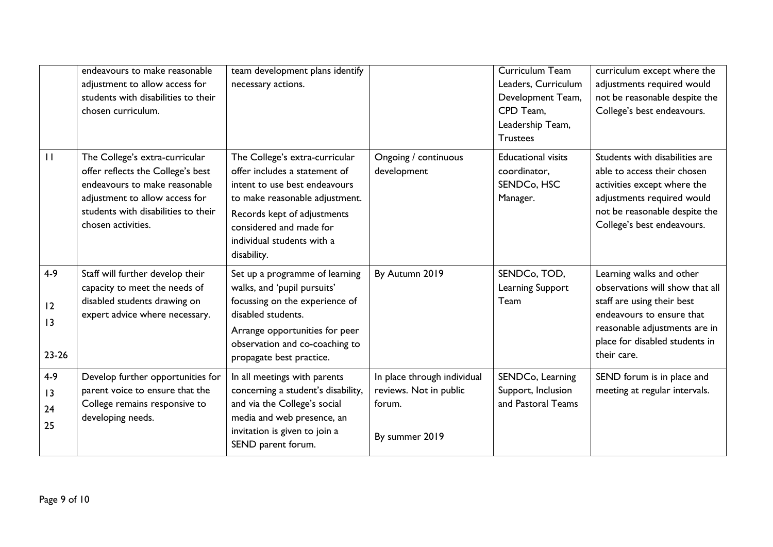|                                  | endeavours to make reasonable<br>adjustment to allow access for<br>students with disabilities to their<br>chosen curriculum.                                                                        | team development plans identify<br>necessary actions.                                                                                                                                                                                     |                                                                                   | <b>Curriculum Team</b><br>Leaders, Curriculum<br>Development Team,<br>CPD Team,<br>Leadership Team,<br><b>Trustees</b> | curriculum except where the<br>adjustments required would<br>not be reasonable despite the<br>College's best endeavours.                                                                                 |
|----------------------------------|-----------------------------------------------------------------------------------------------------------------------------------------------------------------------------------------------------|-------------------------------------------------------------------------------------------------------------------------------------------------------------------------------------------------------------------------------------------|-----------------------------------------------------------------------------------|------------------------------------------------------------------------------------------------------------------------|----------------------------------------------------------------------------------------------------------------------------------------------------------------------------------------------------------|
| $\mathbf{H}$                     | The College's extra-curricular<br>offer reflects the College's best<br>endeavours to make reasonable<br>adjustment to allow access for<br>students with disabilities to their<br>chosen activities. | The College's extra-curricular<br>offer includes a statement of<br>intent to use best endeavours<br>to make reasonable adjustment.<br>Records kept of adjustments<br>considered and made for<br>individual students with a<br>disability. | Ongoing / continuous<br>development                                               | <b>Educational visits</b><br>coordinator,<br>SENDC <sub>o</sub> , HSC<br>Manager.                                      | Students with disabilities are<br>able to access their chosen<br>activities except where the<br>adjustments required would<br>not be reasonable despite the<br>College's best endeavours.                |
| $4 - 9$<br>12<br>13<br>$23 - 26$ | Staff will further develop their<br>capacity to meet the needs of<br>disabled students drawing on<br>expert advice where necessary.                                                                 | Set up a programme of learning<br>walks, and 'pupil pursuits'<br>focussing on the experience of<br>disabled students.<br>Arrange opportunities for peer<br>observation and co-coaching to<br>propagate best practice.                     | By Autumn 2019                                                                    | SENDCo, TOD,<br>Learning Support<br>Team                                                                               | Learning walks and other<br>observations will show that all<br>staff are using their best<br>endeavours to ensure that<br>reasonable adjustments are in<br>place for disabled students in<br>their care. |
| $4-9$<br>13<br>24<br>25          | Develop further opportunities for<br>parent voice to ensure that the<br>College remains responsive to<br>developing needs.                                                                          | In all meetings with parents<br>concerning a student's disability,<br>and via the College's social<br>media and web presence, an<br>invitation is given to join a<br>SEND parent forum.                                                   | In place through individual<br>reviews. Not in public<br>forum.<br>By summer 2019 | SENDCo, Learning<br>Support, Inclusion<br>and Pastoral Teams                                                           | SEND forum is in place and<br>meeting at regular intervals.                                                                                                                                              |